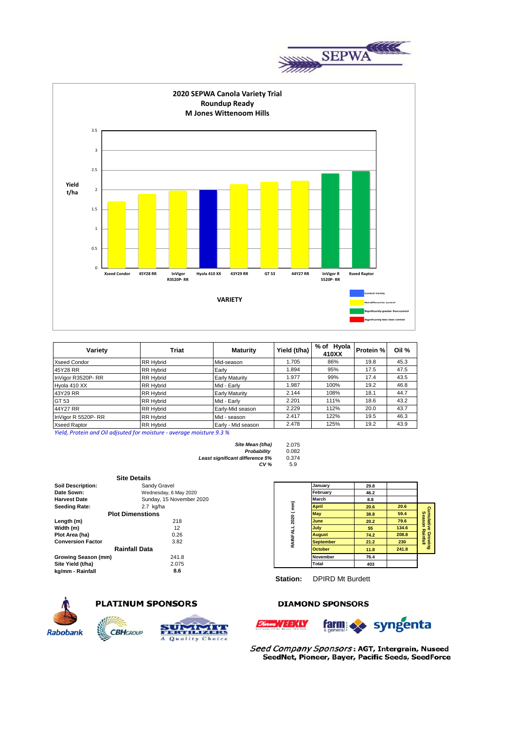



| Variety             | Triat            | <b>Maturity</b>       | Yield (t/ha) | % of Hyola<br>410XX | Protein % | Oil % |
|---------------------|------------------|-----------------------|--------------|---------------------|-----------|-------|
| <b>Xseed Condor</b> | <b>RR Hybrid</b> | Mid-season            | 1.705        | 86%                 | 19.8      | 45.3  |
| 45Y28 RR            | <b>RR Hybrid</b> | Early                 | 1.894        | 95%                 | 17.5      | 47.5  |
| InVigor R3520P-RR   | <b>RR Hybrid</b> | <b>Early Maturity</b> | 1.977        | 99%                 | 17.4      | 43.5  |
| Hyola 410 XX        | <b>RR Hybrid</b> | Mid - Early           | 1.987        | 100%                | 19.2      | 46.8  |
| 43Y29 RR            | <b>RR Hybrid</b> | <b>Early Maturity</b> | 2.144        | 108%                | 18.1      | 44.7  |
| GT 53               | <b>RR Hybrid</b> | Mid - Early           | 2.201        | 111%                | 18.6      | 43.2  |
| 44Y27 RR            | <b>RR Hybrid</b> | Early-Mid season      | 2.229        | 112%                | 20.0      | 43.7  |
| InVigor R 5520P-RR  | <b>RR Hybrid</b> | Mid - season          | 2.417        | 122%                | 19.5      | 46.3  |
| <b>Xseed Raptor</b> | <b>RR Hybrid</b> | Early - Mid season    | 2.478        | 125%                | 19.2      | 43.9  |

*Yield, Protein and Oil adjsuted for moisture - average moisture 9.3 %*

| 2.075 |
|-------|
| 0.082 |
| 0.374 |
| 5.9   |
|       |

|                          | <b>Site Details</b>      |           |                  |      |       |
|--------------------------|--------------------------|-----------|------------------|------|-------|
| <b>Soil Description:</b> | Sandy Gravel             |           | January          | 29.8 |       |
| Date Sown:               | Wednesday, 6 May 2020    |           | February         | 46.2 |       |
| <b>Harvest Date</b>      | Sunday, 15 November 2020 |           | March            | 8.8  |       |
| <b>Seeding Rate:</b>     | 2.7 kg/ha                |           | <b>April</b>     | 20.6 | 20.6  |
|                          | <b>Plot Dimenstions</b>  | 2020 (mm) | May              | 38.8 | 59.4  |
| Length (m)               | 218                      |           | <b>June</b>      | 20.2 | 79.6  |
| Width (m)                | 12                       |           | July             | 55   | 134.6 |
| Plot Area (ha)           | 0.26                     |           | <b>August</b>    | 74.2 | 208.8 |
| <b>Conversion Factor</b> | 3.82                     | RAINFALL  | <b>September</b> | 21.2 | 230   |
|                          | Rainfall Data            |           | <b>October</b>   | 11.8 | 241.8 |
| Growing Season (mm)      | 241.8                    |           | <b>November</b>  | 76.4 |       |
| Site Yield (t/ha)        | 2.075                    |           | Total            | 403  |       |
| kg/mm - Rainfall         | 8.6                      |           |                  |      |       |

**CBH**GROUP

|                    | January          | 29.8 |       |                                       |
|--------------------|------------------|------|-------|---------------------------------------|
| RAINFALL 2020 (mm) | February         | 46.2 |       |                                       |
|                    | March            | 8.8  |       |                                       |
|                    | <b>April</b>     | 20.6 | 20.6  |                                       |
|                    | May              | 38.8 | 59.4  | Cumulative Growing<br>Season Rainfall |
|                    | June             | 20.2 | 79.6  |                                       |
|                    | July             | 55   | 134.6 |                                       |
|                    | <b>August</b>    | 74.2 | 208.8 |                                       |
|                    | <b>September</b> | 21.2 | 230   |                                       |
|                    | <b>October</b>   | 11.8 | 241.8 |                                       |
|                    | November         | 76.4 |       |                                       |
|                    | Total            | 403  |       |                                       |
|                    |                  |      |       |                                       |

**Station:** DPIRD Mt Burdett



### **PLATINUM SPONSORS**



### **DIAMOND SPONSORS**

WEEKLY



Seed Company Sponsors: AGT, Intergrain, Nuseed SeedNet, Pioneer, Bayer, Pacific Seeds, SeedForce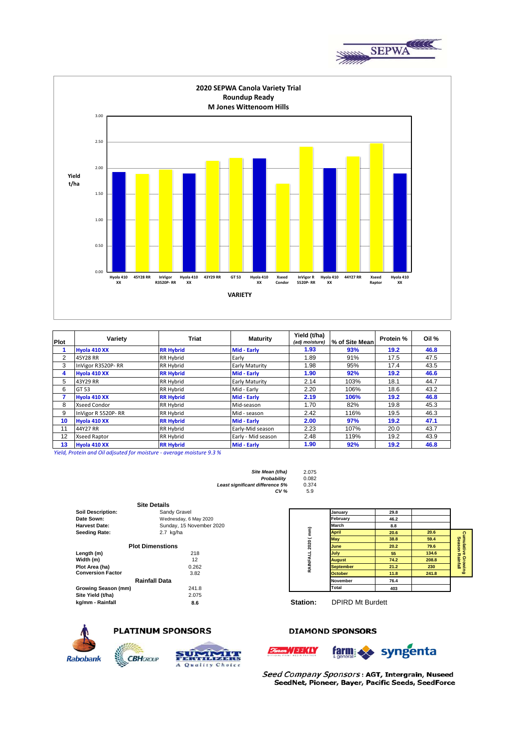



| Plot | <b>Triat</b><br>Variety |                  | Yield (t/ha)<br><b>Maturity</b><br>(adj moisture) |      | % of Site Mean | Protein % | Oil % |  |
|------|-------------------------|------------------|---------------------------------------------------|------|----------------|-----------|-------|--|
|      | Hyola 410 XX            | <b>RR Hybrid</b> | Mid - Early                                       | 1.93 | 93%            | 19.2      | 46.8  |  |
| 2    | 45Y28 RR                | <b>RR Hybrid</b> | Early                                             | 1.89 | 91%            | 17.5      | 47.5  |  |
| 3    | InVigor R3520P-RR       | <b>RR Hybrid</b> | <b>Early Maturity</b>                             | 1.98 | 95%            | 17.4      | 43.5  |  |
| 4    | Hyola 410 XX            | <b>RR Hybrid</b> | Mid - Early                                       | 1.90 | 92%            | 19.2      | 46.6  |  |
| 5    | 43Y29 RR                | <b>RR Hybrid</b> | <b>Early Maturity</b>                             | 2.14 | 103%           | 18.1      | 44.7  |  |
| 6    | GT 53                   | <b>RR Hybrid</b> | Mid - Early                                       | 2.20 | 106%           | 18.6      | 43.2  |  |
|      | Hyola 410 XX            | <b>RR Hybrid</b> | Mid - Early                                       | 2.19 | 106%           | 19.2      | 46.8  |  |
| 8    | <b>Xseed Condor</b>     | <b>RR Hybrid</b> | Mid-season                                        | 1.70 | 82%            | 19.8      | 45.3  |  |
| 9    | InVigor R 5520P-RR      | <b>RR Hybrid</b> | Mid - season                                      | 2.42 | 116%           | 19.5      | 46.3  |  |
| 10   | Hyola 410 XX            | <b>RR Hybrid</b> | Mid - Early                                       | 2.00 | 97%            | 19.2      | 47.1  |  |
| 11   | 44Y27 RR                | <b>RR Hybrid</b> | Early-Mid season                                  | 2.23 | 107%           | 20.0      | 43.7  |  |
| 12   | <b>Xseed Raptor</b>     | RR Hybrid        | Early - Mid season                                | 2.48 | 119%           | 19.2      | 43.9  |  |
| 13   | Hyola 410 XX            | <b>RR Hybrid</b> | Mid - Early                                       | 1.90 | 92%            | 19.2      | 46.8  |  |

*Yield, Protein and Oil adjsuted for moisture - average moisture 9.3 %*

| Site Mean (t/ha)                | 2.075 |
|---------------------------------|-------|
| Probability                     | 0.082 |
| Least significant difference 5% | 0.374 |
| CV <sub>6</sub>                 | 5.9   |

|                          | <b>Site Details</b>      |           |                  |      |       |
|--------------------------|--------------------------|-----------|------------------|------|-------|
| <b>Soil Description:</b> | Sandy Gravel             |           | January          | 29.8 |       |
| Date Sown:               | Wednesday, 6 May 2020    |           | February         | 46.2 |       |
| <b>Harvest Date:</b>     | Sunday, 15 November 2020 |           | March            | 8.8  |       |
| <b>Seeding Rate:</b>     | $2.7$ kg/ha              |           | <b>April</b>     | 20.6 | 20.6  |
|                          |                          |           | <b>May</b>       | 38.8 | 59.4  |
|                          | <b>Plot Dimenstions</b>  | 2020 (mm) | June             | 20.2 | 79.6  |
| Length (m)               | 218                      |           | July             | 55   | 134.6 |
| Width (m)                | 12                       | RAINFALL  | <b>August</b>    | 74.2 | 208.8 |
| Plot Area (ha)           | 0.262                    |           | <b>September</b> | 21.2 | 230   |
| <b>Conversion Factor</b> | 3.82                     |           | <b>October</b>   | 11.8 | 241.8 |
|                          | <b>Rainfall Data</b>     |           | <b>November</b>  | 76.4 |       |
| Growing Season (mm)      | 241.8                    |           | Total            | 403  |       |
| Site Yield (t/ha)        | 2.075                    |           |                  |      |       |
| kg/mm - Rainfall         | 8 R                      | Station:  | DPIRD Mt Burdett |      |       |

**CBH**GROUP



**kg/mm - Rainfall 8.6 Station:** DPIRD Mt Burdett



# **PLATINUM SPONSORS**



## **DIAMOND SPONSORS**





Seed Company Sponsors: AGT, Intergrain, Nuseed SeedNet, Pioneer, Bayer, Pacific Seeds, SeedForce